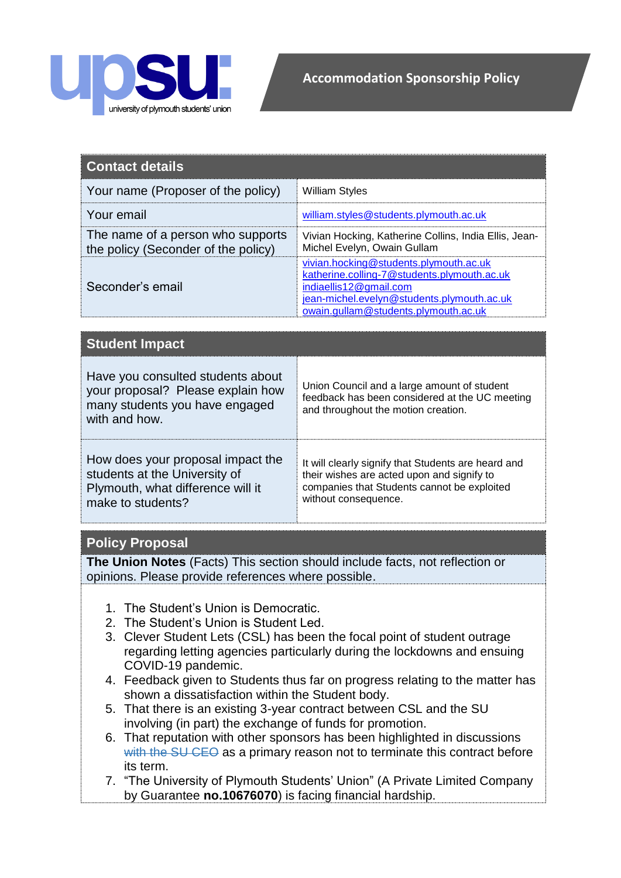

| <b>Contact details</b>                                                                                                       |                                                                                                                                                                                                       |
|------------------------------------------------------------------------------------------------------------------------------|-------------------------------------------------------------------------------------------------------------------------------------------------------------------------------------------------------|
| Your name (Proposer of the policy)                                                                                           | <b>William Styles</b>                                                                                                                                                                                 |
| Your email                                                                                                                   | william.styles@students.plymouth.ac.uk                                                                                                                                                                |
| The name of a person who supports<br>the policy (Seconder of the policy)                                                     | Vivian Hocking, Katherine Collins, India Ellis, Jean-<br>Michel Evelyn, Owain Gullam                                                                                                                  |
| Seconder's email                                                                                                             | vivian.hocking@students.plymouth.ac.uk<br>katherine.colling-7@students.plymouth.ac.uk<br>indiaellis12@gmail.com<br>jean-michel.evelyn@students.plymouth.ac.uk<br>owain.gullam@students.plymouth.ac.uk |
| <b>Student Impact</b>                                                                                                        |                                                                                                                                                                                                       |
| Have you consulted students about<br>your proposal? Please explain how<br>many students you have engaged<br>with and how.    | Union Council and a large amount of student<br>feedback has been considered at the UC meeting<br>and throughout the motion creation.                                                                  |
| How does your proposal impact the<br>students at the University of<br>Plymouth, what difference will it<br>make to students? | It will clearly signify that Students are heard and<br>their wishes are acted upon and signify to<br>companies that Students cannot be exploited<br>without consequence.                              |

## **Policy Proposal**

**The Union Notes** (Facts) This section should include facts, not reflection or opinions. Please provide references where possible.

- 1. The Student's Union is Democratic.
- 2. The Student's Union is Student Led.
- 3. Clever Student Lets (CSL) has been the focal point of student outrage regarding letting agencies particularly during the lockdowns and ensuing COVID-19 pandemic.
- 4. Feedback given to Students thus far on progress relating to the matter has shown a dissatisfaction within the Student body.
- 5. That there is an existing 3-year contract between CSL and the SU involving (in part) the exchange of funds for promotion.
- 6. That reputation with other sponsors has been highlighted in discussions with the SU CEO as a primary reason not to terminate this contract before its term.
- 7. "The University of Plymouth Students' Union" (A Private Limited Company by Guarantee **no.10676070**) is facing financial hardship.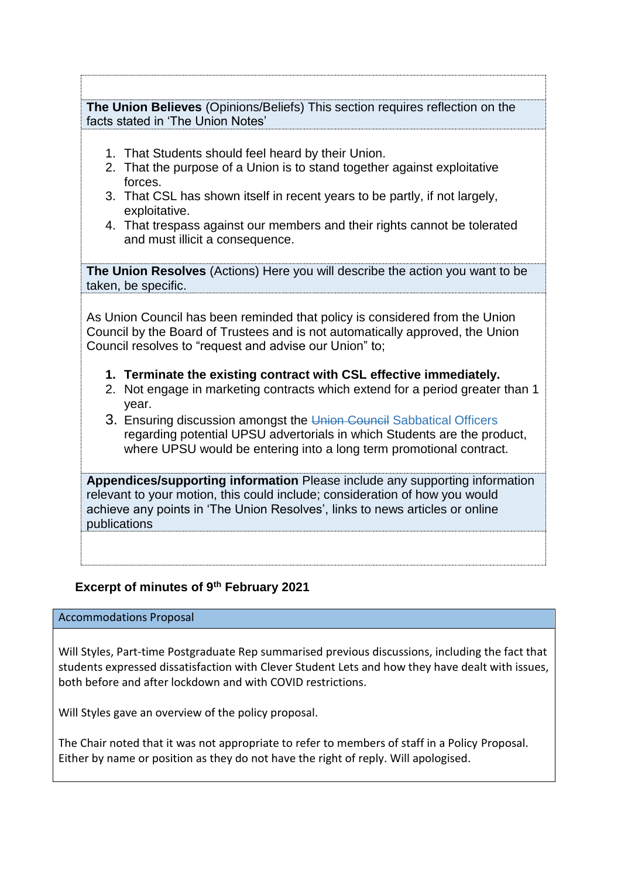| facts stated in 'The Union Notes'                                                                                                                                           |
|-----------------------------------------------------------------------------------------------------------------------------------------------------------------------------|
| 1. That Students should feel heard by their Union.                                                                                                                          |
| 2. That the purpose of a Union is to stand together against exploitative<br>forces.                                                                                         |
| 3. That CSL has shown itself in recent years to be partly, if not largely,                                                                                                  |
| exploitative.                                                                                                                                                               |
| 4. That trespass against our members and their rights cannot be tolerated<br>and must illicit a consequence.                                                                |
| The Union Resolves (Actions) Here you will describe the action you want to be<br>taken, be specific.                                                                        |
|                                                                                                                                                                             |
| As Union Council has been reminded that policy is considered from the Union                                                                                                 |
| Council by the Board of Trustees and is not automatically approved, the Union<br>Council resolves to "request and advise our Union" to;                                     |
|                                                                                                                                                                             |
| 1. Terminate the existing contract with CSL effective immediately.<br>2. Not engage in marketing contracts which extend for a period greater than 1                         |
| year.<br>3. Ensuring discussion amongst the Union Council Sabbatical Officers                                                                                               |
| regarding potential UPSU advertorials in which Students are the product,<br>where UPSU would be entering into a long term promotional contract.                             |
|                                                                                                                                                                             |
| relevant to your motion, this could include; consideration of how you would                                                                                                 |
| Appendices/supporting information Please include any supporting information<br>achieve any points in 'The Union Resolves', links to news articles or online<br>publications |

## Accommodations Proposal

Will Styles, Part-time Postgraduate Rep summarised previous discussions, including the fact that students expressed dissatisfaction with Clever Student Lets and how they have dealt with issues, both before and after lockdown and with COVID restrictions.

Will Styles gave an overview of the policy proposal.

The Chair noted that it was not appropriate to refer to members of staff in a Policy Proposal. Either by name or position as they do not have the right of reply. Will apologised.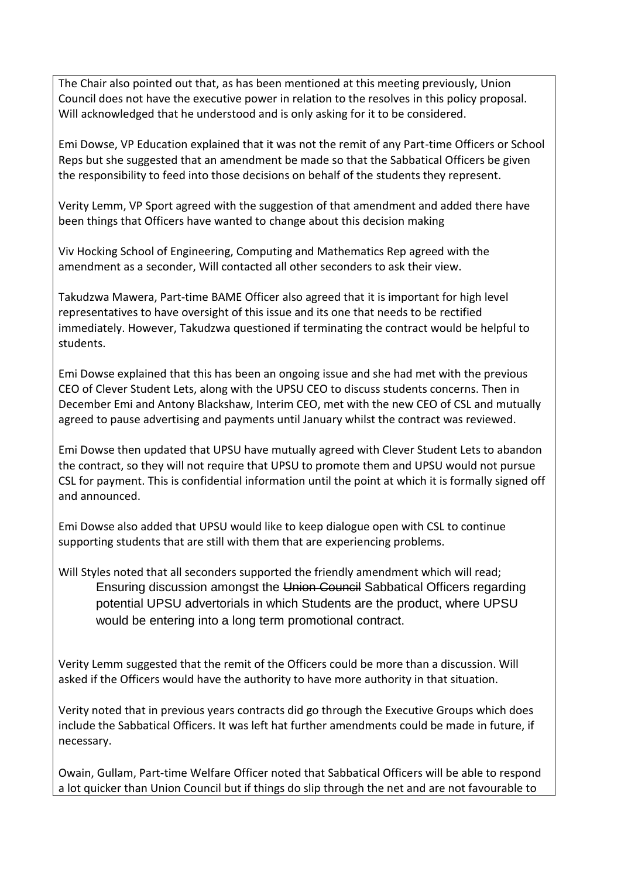The Chair also pointed out that, as has been mentioned at this meeting previously, Union Council does not have the executive power in relation to the resolves in this policy proposal. Will acknowledged that he understood and is only asking for it to be considered.

Emi Dowse, VP Education explained that it was not the remit of any Part-time Officers or School Reps but she suggested that an amendment be made so that the Sabbatical Officers be given the responsibility to feed into those decisions on behalf of the students they represent.

Verity Lemm, VP Sport agreed with the suggestion of that amendment and added there have been things that Officers have wanted to change about this decision making

Viv Hocking School of Engineering, Computing and Mathematics Rep agreed with the amendment as a seconder, Will contacted all other seconders to ask their view.

Takudzwa Mawera, Part-time BAME Officer also agreed that it is important for high level representatives to have oversight of this issue and its one that needs to be rectified immediately. However, Takudzwa questioned if terminating the contract would be helpful to students.

Emi Dowse explained that this has been an ongoing issue and she had met with the previous CEO of Clever Student Lets, along with the UPSU CEO to discuss students concerns. Then in December Emi and Antony Blackshaw, Interim CEO, met with the new CEO of CSL and mutually agreed to pause advertising and payments until January whilst the contract was reviewed.

Emi Dowse then updated that UPSU have mutually agreed with Clever Student Lets to abandon the contract, so they will not require that UPSU to promote them and UPSU would not pursue CSL for payment. This is confidential information until the point at which it is formally signed off and announced.

Emi Dowse also added that UPSU would like to keep dialogue open with CSL to continue supporting students that are still with them that are experiencing problems.

Will Styles noted that all seconders supported the friendly amendment which will read; Ensuring discussion amongst the Union Council Sabbatical Officers regarding potential UPSU advertorials in which Students are the product, where UPSU would be entering into a long term promotional contract.

Verity Lemm suggested that the remit of the Officers could be more than a discussion. Will asked if the Officers would have the authority to have more authority in that situation.

Verity noted that in previous years contracts did go through the Executive Groups which does include the Sabbatical Officers. It was left hat further amendments could be made in future, if necessary.

Owain, Gullam, Part-time Welfare Officer noted that Sabbatical Officers will be able to respond a lot quicker than Union Council but if things do slip through the net and are not favourable to